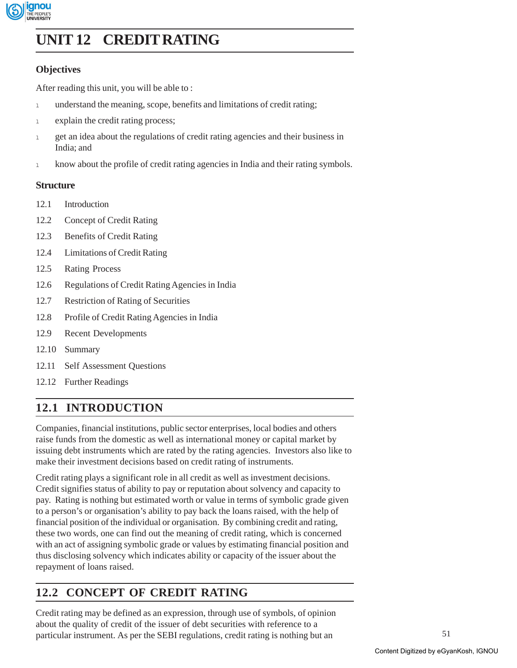

# **Credit Rating UNIT 12 CREDIT RATING**

# **Objectives**

After reading this unit, you will be able to :

- 1 understand the meaning, scope, benefits and limitations of credit rating;
- 1 explain the credit rating process;
- <sup>l</sup> get an idea about the regulations of credit rating agencies and their business in India; and
- <sup>l</sup> know about the profile of credit rating agencies in India and their rating symbols.

### **Structure**

- 12.1 Introduction
- 12.2 Concept of Credit Rating
- 12.3 Benefits of Credit Rating
- 12.4 Limitations of Credit Rating
- 12.5 Rating Process
- 12.6 Regulations of Credit Rating Agencies in India
- 12.7 Restriction of Rating of Securities
- 12.8 Profile of Credit Rating Agencies in India
- 12.9 Recent Developments
- 12.10 Summary
- 12.11 Self Assessment Questions
- 12.12 Further Readings

# **12.1 INTRODUCTION**

Companies, financial institutions, public sector enterprises, local bodies and others raise funds from the domestic as well as international money or capital market by issuing debt instruments which are rated by the rating agencies. Investors also like to make their investment decisions based on credit rating of instruments.

Credit rating plays a significant role in all credit as well as investment decisions. Credit signifies status of ability to pay or reputation about solvency and capacity to pay. Rating is nothing but estimated worth or value in terms of symbolic grade given to a person's or organisation's ability to pay back the loans raised, with the help of financial position of the individual or organisation. By combining credit and rating, these two words, one can find out the meaning of credit rating, which is concerned with an act of assigning symbolic grade or values by estimating financial position and thus disclosing solvency which indicates ability or capacity of the issuer about the repayment of loans raised.

# **12.2 CONCEPT OF CREDIT RATING**

Credit rating may be defined as an expression, through use of symbols, of opinion about the quality of credit of the issuer of debt securities with reference to a particular instrument. As per the SEBI regulations, credit rating is nothing but an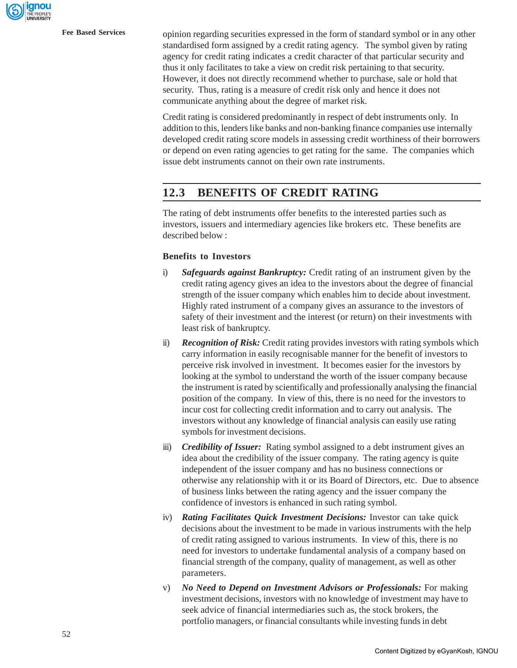**Fee Based Services** opinion regarding securities expressed in the form of standard symbol or in any other standardised form assigned by a credit rating agency. The symbol given by rating agency for credit rating indicates a credit character of that particular security and thus it only facilitates to take a view on credit risk pertaining to that security. However, it does not directly recommend whether to purchase, sale or hold that security. Thus, rating is a measure of credit risk only and hence it does not communicate anything about the degree of market risk.

> Credit rating is considered predominantly in respect of debt instruments only. In addition to this, lenders like banks and non-banking finance companies use internally developed credit rating score models in assessing credit worthiness of their borrowers or depend on even rating agencies to get rating for the same. The companies which issue debt instruments cannot on their own rate instruments.

# **12.3 BENEFITS OF CREDIT RATING**

The rating of debt instruments offer benefits to the interested parties such as investors, issuers and intermediary agencies like brokers etc. These benefits are described below :

### **Benefits to Investors**

- i) *Safeguards against Bankruptcy:* Credit rating of an instrument given by the credit rating agency gives an idea to the investors about the degree of financial strength of the issuer company which enables him to decide about investment. Highly rated instrument of a company gives an assurance to the investors of safety of their investment and the interest (or return) on their investments with least risk of bankruptcy.
- ii) *Recognition of Risk:* Credit rating provides investors with rating symbols which carry information in easily recognisable manner for the benefit of investors to perceive risk involved in investment. It becomes easier for the investors by looking at the symbol to understand the worth of the issuer company because the instrument is rated by scientifically and professionally analysing the financial position of the company. In view of this, there is no need for the investors to incur cost for collecting credit information and to carry out analysis. The investors without any knowledge of financial analysis can easily use rating symbols for investment decisions.
- iii) *Credibility of Issuer:* Rating symbol assigned to a debt instrument gives an idea about the credibility of the issuer company. The rating agency is quite independent of the issuer company and has no business connections or otherwise any relationship with it or its Board of Directors, etc. Due to absence of business links between the rating agency and the issuer company the confidence of investors is enhanced in such rating symbol.
- iv) *Rating Facilitates Quick Investment Decisions:* Investor can take quick decisions about the investment to be made in various instruments with the help of credit rating assigned to various instruments. In view of this, there is no need for investors to undertake fundamental analysis of a company based on financial strength of the company, quality of management, as well as other parameters.
- v) *No Need to Depend on Investment Advisors or Professionals:* For making investment decisions, investors with no knowledge of investment may have to seek advice of financial intermediaries such as, the stock brokers, the portfolio managers, or financial consultants while investing funds in debt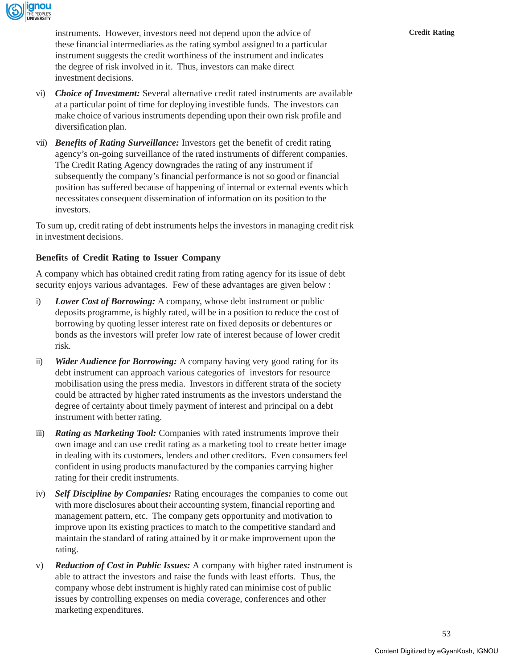

instruments. However, investors need not depend upon the advice of **Credit Rating** these financial intermediaries as the rating symbol assigned to a particular instrument suggests the credit worthiness of the instrument and indicates the degree of risk involved in it. Thus, investors can make direct investment decisions.

- vi) *Choice of Investment:* Several alternative credit rated instruments are available at a particular point of time for deploying investible funds. The investors can make choice of various instruments depending upon their own risk profile and diversification plan.
- vii) *Benefits of Rating Surveillance:* Investors get the benefit of credit rating agency's on-going surveillance of the rated instruments of different companies. The Credit Rating Agency downgrades the rating of any instrument if subsequently the company's financial performance is not so good or financial position has suffered because of happening of internal or external events which necessitates consequent dissemination of information on its position to the investors.

To sum up, credit rating of debt instruments helps the investors in managing credit risk in investment decisions.

# **Benefits of Credit Rating to Issuer Company**

A company which has obtained credit rating from rating agency for its issue of debt security enjoys various advantages. Few of these advantages are given below :

- i) *Lower Cost of Borrowing:* A company, whose debt instrument or public deposits programme, is highly rated, will be in a position to reduce the cost of borrowing by quoting lesser interest rate on fixed deposits or debentures or bonds as the investors will prefer low rate of interest because of lower credit risk.
- ii) *Wider Audience for Borrowing:* A company having very good rating for its debt instrument can approach various categories of investors for resource mobilisation using the press media. Investors in different strata of the society could be attracted by higher rated instruments as the investors understand the degree of certainty about timely payment of interest and principal on a debt instrument with better rating.
- iii) *Rating as Marketing Tool:* Companies with rated instruments improve their own image and can use credit rating as a marketing tool to create better image in dealing with its customers, lenders and other creditors. Even consumers feel confident in using products manufactured by the companies carrying higher rating for their credit instruments.
- iv) *Self Discipline by Companies:* Rating encourages the companies to come out with more disclosures about their accounting system, financial reporting and management pattern, etc. The company gets opportunity and motivation to improve upon its existing practices to match to the competitive standard and maintain the standard of rating attained by it or make improvement upon the rating.
- v) *Reduction of Cost in Public Issues:* A company with higher rated instrument is able to attract the investors and raise the funds with least efforts. Thus, the company whose debt instrument is highly rated can minimise cost of public issues by controlling expenses on media coverage, conferences and other marketing expenditures.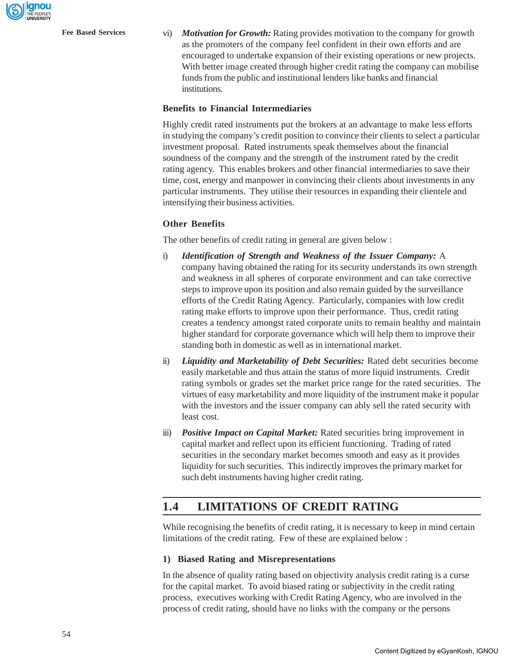**Fee Based Services** vi) *Motivation for Growth:* Rating provides motivation to the company for growth as the promoters of the company feel confident in their own efforts and are encouraged to undertake expansion of their existing operations or new projects. With better image created through higher credit rating the company can mobilise funds from the public and institutional lenders like banks and financial institutions.

### **Benefits to Financial Intermediaries**

Highly credit rated instruments put the brokers at an advantage to make less efforts in studying the company's credit position to convince their clients to select a particular investment proposal. Rated instruments speak themselves about the financial soundness of the company and the strength of the instrument rated by the credit rating agency. This enables brokers and other financial intermediaries to save their time, cost, energy and manpower in convincing their clients about investments in any particular instruments. They utilise their resources in expanding their clientele and intensifying their business activities.

### **Other Benefits**

The other benefits of credit rating in general are given below :

- i) *Identification of Strength and Weakness of the Issuer Company:* A company having obtained the rating for its security understands its own strength and weakness in all spheres of corporate environment and can take corrective steps to improve upon its position and also remain guided by the surveillance efforts of the Credit Rating Agency. Particularly, companies with low credit rating make efforts to improve upon their performance. Thus, credit rating creates a tendency amongst rated corporate units to remain healthy and maintain higher standard for corporate governance which will help them to improve their standing both in domestic as well as in international market.
- ii) *Liquidity and Marketability of Debt Securities:* Rated debt securities become easily marketable and thus attain the status of more liquid instruments. Credit rating symbols or grades set the market price range for the rated securities. The virtues of easy marketability and more liquidity of the instrument make it popular with the investors and the issuer company can ably sell the rated security with least cost.
- iii) *Positive Impact on Capital Market:* Rated securities bring improvement in capital market and reflect upon its efficient functioning. Trading of rated securities in the secondary market becomes smooth and easy as it provides liquidity for such securities. This indirectly improves the primary market for such debt instruments having higher credit rating.

# **1.4 LIMITATIONS OF CREDIT RATING**

While recognising the benefits of credit rating, it is necessary to keep in mind certain limitations of the credit rating. Few of these are explained below :

#### **1) Biased Rating and Misrepresentations**

In the absence of quality rating based on objectivity analysis credit rating is a curse for the capital market. To avoid biased rating or subjectivity in the credit rating process, executives working with Credit Rating Agency, who are involved in the process of credit rating, should have no links with the company or the persons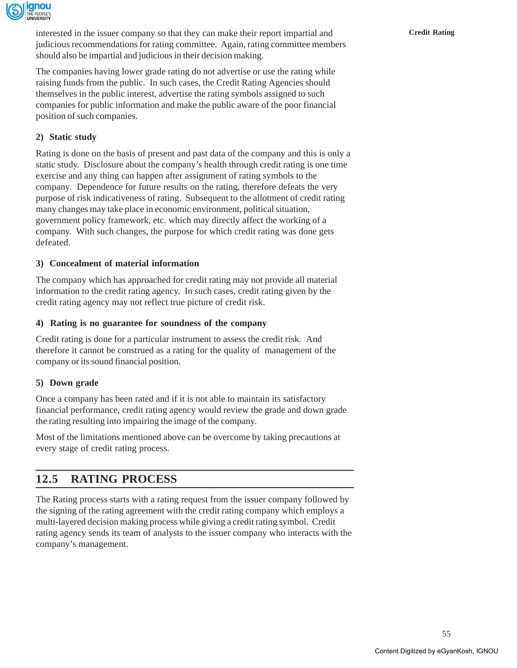

interested in the issuer company so that they can make their report impartial and **Credit Rating** judicious recommendations for rating committee. Again, rating committee members should also be impartial and judicious in their decision making.

The companies having lower grade rating do not advertise or use the rating while raising funds from the public. In such cases, the Credit Rating Agencies should themselves in the public interest, advertise the rating symbols assigned to such companies for public information and make the public aware of the poor financial position of such companies.

## **2) Static study**

Rating is done on the basis of present and past data of the company and this is only a static study. Disclosure about the company's health through credit rating is one time exercise and any thing can happen after assignment of rating symbols to the company. Dependence for future results on the rating, therefore defeats the very purpose of risk indicativeness of rating. Subsequent to the allotment of credit rating many changes may take place in economic environment, political situation, government policy framework, etc. which may directly affect the working of a company. With such changes, the purpose for which credit rating was done gets defeated.

### **3) Concealment of material information**

The company which has approached for credit rating may not provide all material information to the credit rating agency. In such cases, credit rating given by the credit rating agency may not reflect true picture of credit risk.

### **4) Rating is no guarantee for soundness of the company**

Credit rating is done for a particular instrument to assess the credit risk. And therefore it cannot be construed as a rating for the quality of management of the company or its sound financial position.

### **5) Down grade**

Once a company has been rated and if it is not able to maintain its satisfactory financial performance, credit rating agency would review the grade and down grade the rating resulting into impairing the image of the company.

Most of the limitations mentioned above can be overcome by taking precautions at every stage of credit rating process.

# **12.5 RATING PROCESS**

The Rating process starts with a rating request from the issuer company followed by the signing of the rating agreement with the credit rating company which employs a multi-layered decision making process while giving a credit rating symbol. Credit rating agency sends its team of analysts to the issuer company who interacts with the company's management.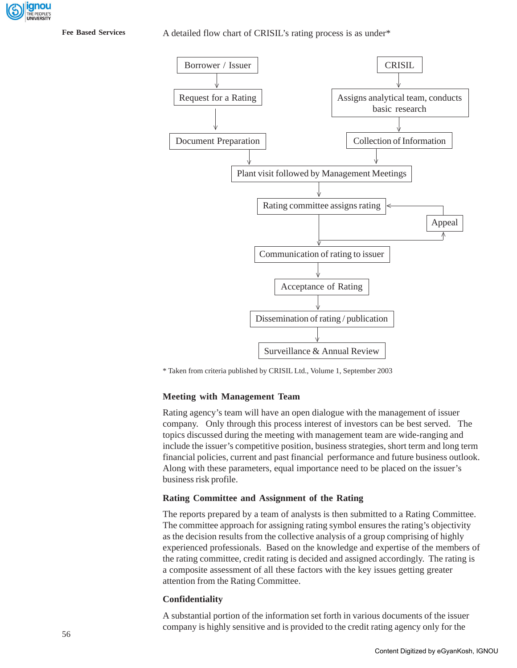**Fee Based Services**

#### A detailed flow chart of CRISIL's rating process is as under\*



\* Taken from criteria published by CRISIL Ltd., Volume 1, September 2003

### **Meeting with Management Team**

Rating agency's team will have an open dialogue with the management of issuer company. Only through this process interest of investors can be best served. The topics discussed during the meeting with management team are wide-ranging and include the issuer's competitive position, business strategies, short term and long term financial policies, current and past financial performance and future business outlook. Along with these parameters, equal importance need to be placed on the issuer's business risk profile.

#### **Rating Committee and Assignment of the Rating**

The reports prepared by a team of analysts is then submitted to a Rating Committee. The committee approach for assigning rating symbol ensures the rating's objectivity as the decision results from the collective analysis of a group comprising of highly experienced professionals. Based on the knowledge and expertise of the members of the rating committee, credit rating is decided and assigned accordingly. The rating is a composite assessment of all these factors with the key issues getting greater attention from the Rating Committee.

#### **Confidentiality**

A substantial portion of the information set forth in various documents of the issuer company is highly sensitive and is provided to the credit rating agency only for the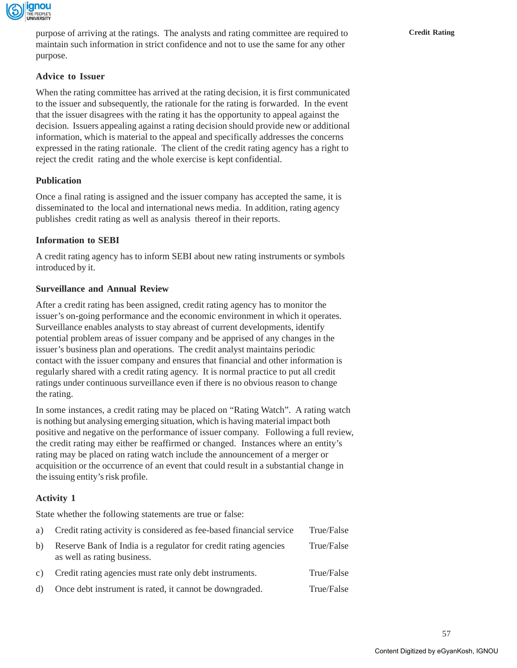

purpose of arriving at the ratings. The analysts and rating committee are required to **Credit Rating** maintain such information in strict confidence and not to use the same for any other purpose.

### **Advice to Issuer**

When the rating committee has arrived at the rating decision, it is first communicated to the issuer and subsequently, the rationale for the rating is forwarded. In the event that the issuer disagrees with the rating it has the opportunity to appeal against the decision. Issuers appealing against a rating decision should provide new or additional information, which is material to the appeal and specifically addresses the concerns expressed in the rating rationale. The client of the credit rating agency has a right to reject the credit rating and the whole exercise is kept confidential.

### **Publication**

Once a final rating is assigned and the issuer company has accepted the same, it is disseminated to the local and international news media. In addition, rating agency publishes credit rating as well as analysis thereof in their reports.

### **Information to SEBI**

A credit rating agency has to inform SEBI about new rating instruments or symbols introduced by it.

### **Surveillance and Annual Review**

After a credit rating has been assigned, credit rating agency has to monitor the issuer's on-going performance and the economic environment in which it operates. Surveillance enables analysts to stay abreast of current developments, identify potential problem areas of issuer company and be apprised of any changes in the issuer's business plan and operations. The credit analyst maintains periodic contact with the issuer company and ensures that financial and other information is regularly shared with a credit rating agency. It is normal practice to put all credit ratings under continuous surveillance even if there is no obvious reason to change the rating.

In some instances, a credit rating may be placed on "Rating Watch". A rating watch is nothing but analysing emerging situation, which is having material impact both positive and negative on the performance of issuer company. Following a full review, the credit rating may either be reaffirmed or changed. Instances where an entity's rating may be placed on rating watch include the announcement of a merger or acquisition or the occurrence of an event that could result in a substantial change in the issuing entity's risk profile.

## **Activity 1**

State whether the following statements are true or false:

| a) | Credit rating activity is considered as fee-based financial service                            | True/False |
|----|------------------------------------------------------------------------------------------------|------------|
| b) | Reserve Bank of India is a regulator for credit rating agencies<br>as well as rating business. | True/False |
| c) | Credit rating agencies must rate only debt instruments.                                        | True/False |
| d) | Once debt instrument is rated, it cannot be downgraded.                                        | True/False |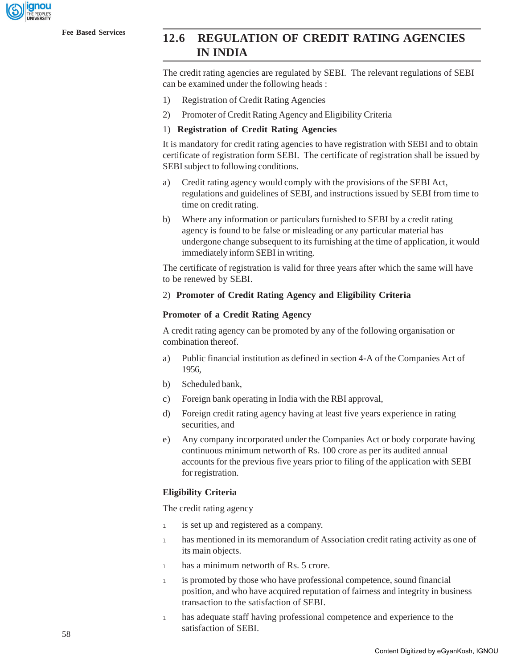

# **Fee Based Services 12.6 REGULATION OF CREDIT RATING AGENCIES IN INDIA**

The credit rating agencies are regulated by SEBI. The relevant regulations of SEBI can be examined under the following heads :

- 1) Registration of Credit Rating Agencies
- 2) Promoter of Credit Rating Agency and Eligibility Criteria

#### 1) **Registration of Credit Rating Agencies**

It is mandatory for credit rating agencies to have registration with SEBI and to obtain certificate of registration form SEBI. The certificate of registration shall be issued by SEBI subject to following conditions.

- a) Credit rating agency would comply with the provisions of the SEBI Act, regulations and guidelines of SEBI, and instructions issued by SEBI from time to time on credit rating.
- b) Where any information or particulars furnished to SEBI by a credit rating agency is found to be false or misleading or any particular material has undergone change subsequent to its furnishing at the time of application, it would immediately inform SEBI in writing.

The certificate of registration is valid for three years after which the same will have to be renewed by SEBI.

#### 2) **Promoter of Credit Rating Agency and Eligibility Criteria**

#### **Promoter of a Credit Rating Agency**

A credit rating agency can be promoted by any of the following organisation or combination thereof.

- a) Public financial institution as defined in section 4-A of the Companies Act of 1956,
- b) Scheduled bank,
- c) Foreign bank operating in India with the RBI approval,
- d) Foreign credit rating agency having at least five years experience in rating securities, and
- e) Any company incorporated under the Companies Act or body corporate having continuous minimum networth of Rs. 100 crore as per its audited annual accounts for the previous five years prior to filing of the application with SEBI for registration.

### **Eligibility Criteria**

The credit rating agency

- <sup>l</sup> is set up and registered as a company.
- <sup>l</sup> has mentioned in its memorandum of Association credit rating activity as one of its main objects.
- 1 has a minimum networth of Rs. 5 crore.
- <sup>l</sup> is promoted by those who have professional competence, sound financial position, and who have acquired reputation of fairness and integrity in business transaction to the satisfaction of SEBI.
- 1 has adequate staff having professional competence and experience to the satisfaction of SEBI.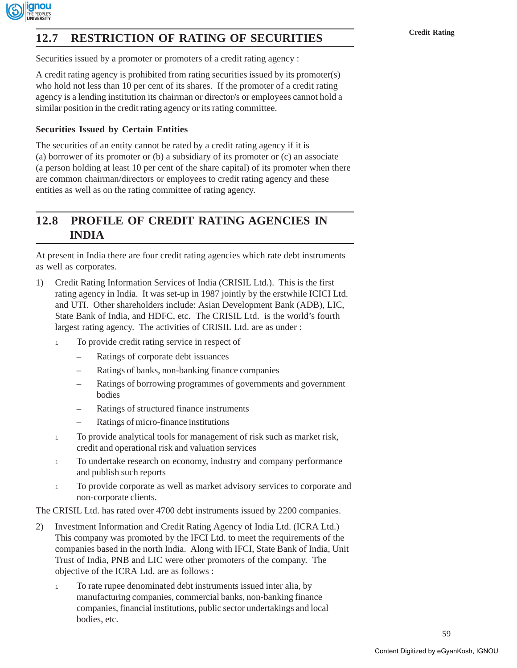

# **T2.7 RESTRICTION OF RATING OF SECURITIES** Credit Rating

Securities issued by a promoter or promoters of a credit rating agency :

A credit rating agency is prohibited from rating securities issued by its promoter(s) who hold not less than 10 per cent of its shares. If the promoter of a credit rating agency is a lending institution its chairman or director/s or employees cannot hold a similar position in the credit rating agency or its rating committee.

### **Securities Issued by Certain Entities**

The securities of an entity cannot be rated by a credit rating agency if it is (a) borrower of its promoter or (b) a subsidiary of its promoter or (c) an associate (a person holding at least 10 per cent of the share capital) of its promoter when there are common chairman/directors or employees to credit rating agency and these entities as well as on the rating committee of rating agency.

# **12.8 PROFILE OF CREDIT RATING AGENCIES IN INDIA**

At present in India there are four credit rating agencies which rate debt instruments as well as corporates.

- 1) Credit Rating Information Services of India (CRISIL Ltd.). This is the first rating agency in India. It was set-up in 1987 jointly by the erstwhile ICICI Ltd. and UTI. Other shareholders include: Asian Development Bank (ADB), LIC, State Bank of India, and HDFC, etc. The CRISIL Ltd. is the world's fourth largest rating agency. The activities of CRISIL Ltd. are as under :
	- 1 To provide credit rating service in respect of
		- Ratings of corporate debt issuances
		- Ratings of banks, non-banking finance companies
		- Ratings of borrowing programmes of governments and government bodies
		- Ratings of structured finance instruments
		- Ratings of micro-finance institutions
	- <sup>l</sup> To provide analytical tools for management of risk such as market risk, credit and operational risk and valuation services
	- 1 To undertake research on economy, industry and company performance and publish such reports
	- 1 To provide corporate as well as market advisory services to corporate and non-corporate clients.

The CRISIL Ltd. has rated over 4700 debt instruments issued by 2200 companies.

- 2) Investment Information and Credit Rating Agency of India Ltd. (ICRA Ltd.) This company was promoted by the IFCI Ltd. to meet the requirements of the companies based in the north India. Along with IFCI, State Bank of India, Unit Trust of India, PNB and LIC were other promoters of the company. The objective of the ICRA Ltd. are as follows :
	- <sup>l</sup> To rate rupee denominated debt instruments issued inter alia, by manufacturing companies, commercial banks, non-banking finance companies, financial institutions, public sector undertakings and local bodies, etc.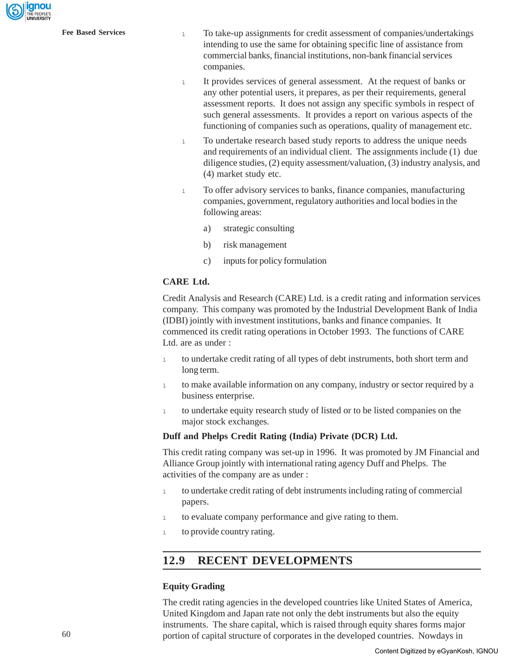ignou

- **Fee Based Services** 1 1 1 To take-up assignments for credit assessment of companies/undertakings intending to use the same for obtaining specific line of assistance from commercial banks, financial institutions, non-bank financial services companies.
	- <sup>l</sup> It provides services of general assessment. At the request of banks or any other potential users, it prepares, as per their requirements, general assessment reports. It does not assign any specific symbols in respect of such general assessments. It provides a report on various aspects of the functioning of companies such as operations, quality of management etc.
	- <sup>l</sup> To undertake research based study reports to address the unique needs and requirements of an individual client. The assignments include (1) due diligence studies, (2) equity assessment/valuation, (3) industry analysis, and (4) market study etc.
	- 1 To offer advisory services to banks, finance companies, manufacturing companies, government, regulatory authorities and local bodies in the following areas:
		- a) strategic consulting
		- b) risk management
		- c) inputs for policy formulation

### **CARE Ltd.**

Credit Analysis and Research (CARE) Ltd. is a credit rating and information services company. This company was promoted by the Industrial Development Bank of India (IDBI) jointly with investment institutions, banks and finance companies. It commenced its credit rating operations in October 1993. The functions of CARE Ltd. are as under :

- <sup>l</sup> to undertake credit rating of all types of debt instruments, both short term and long term.
- 1 to make available information on any company, industry or sector required by a business enterprise.
- 1 to undertake equity research study of listed or to be listed companies on the major stock exchanges.

### **Duff and Phelps Credit Rating (India) Private (DCR) Ltd.**

This credit rating company was set-up in 1996. It was promoted by JM Financial and Alliance Group jointly with international rating agency Duff and Phelps. The activities of the company are as under :

- 1 to undertake credit rating of debt instruments including rating of commercial papers.
- <sup>l</sup> to evaluate company performance and give rating to them.
- <sup>l</sup> to provide country rating.

# **12.9 RECENT DEVELOPMENTS**

### **Equity Grading**

The credit rating agencies in the developed countries like United States of America, United Kingdom and Japan rate not only the debt instruments but also the equity instruments. The share capital, which is raised through equity shares forms major portion of capital structure of corporates in the developed countries. Nowdays in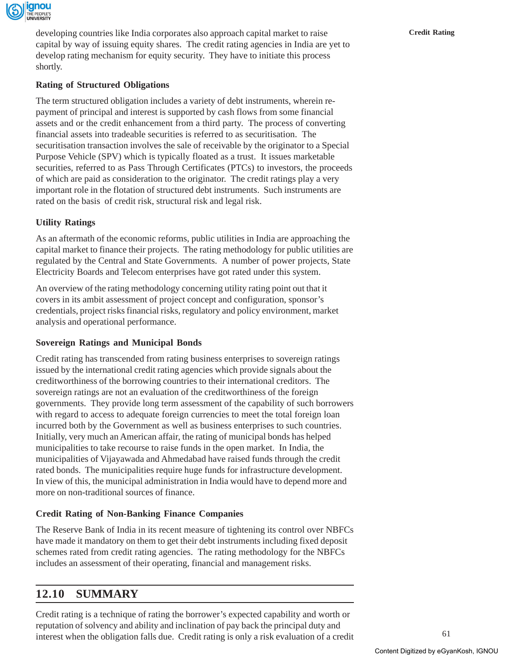

developing countries like India corporates also approach capital market to raise **Credit Rating** capital by way of issuing equity shares. The credit rating agencies in India are yet to develop rating mechanism for equity security. They have to initiate this process shortly.

### **Rating of Structured Obligations**

The term structured obligation includes a variety of debt instruments, wherein repayment of principal and interest is supported by cash flows from some financial assets and or the credit enhancement from a third party. The process of converting financial assets into tradeable securities is referred to as securitisation. The securitisation transaction involves the sale of receivable by the originator to a Special Purpose Vehicle (SPV) which is typically floated as a trust. It issues marketable securities, referred to as Pass Through Certificates (PTCs) to investors, the proceeds of which are paid as consideration to the originator. The credit ratings play a very important role in the flotation of structured debt instruments. Such instruments are rated on the basis of credit risk, structural risk and legal risk.

### **Utility Ratings**

As an aftermath of the economic reforms, public utilities in India are approaching the capital market to finance their projects. The rating methodology for public utilities are regulated by the Central and State Governments. A number of power projects, State Electricity Boards and Telecom enterprises have got rated under this system.

An overview of the rating methodology concerning utility rating point out that it covers in its ambit assessment of project concept and configuration, sponsor's credentials, project risks financial risks, regulatory and policy environment, market analysis and operational performance.

### **Sovereign Ratings and Municipal Bonds**

Credit rating has transcended from rating business enterprises to sovereign ratings issued by the international credit rating agencies which provide signals about the creditworthiness of the borrowing countries to their international creditors. The sovereign ratings are not an evaluation of the creditworthiness of the foreign governments. They provide long term assessment of the capability of such borrowers with regard to access to adequate foreign currencies to meet the total foreign loan incurred both by the Government as well as business enterprises to such countries. Initially, very much an American affair, the rating of municipal bonds has helped municipalities to take recourse to raise funds in the open market. In India, the municipalities of Vijayawada and Ahmedabad have raised funds through the credit rated bonds. The municipalities require huge funds for infrastructure development. In view of this, the municipal administration in India would have to depend more and more on non-traditional sources of finance.

### **Credit Rating of Non-Banking Finance Companies**

The Reserve Bank of India in its recent measure of tightening its control over NBFCs have made it mandatory on them to get their debt instruments including fixed deposit schemes rated from credit rating agencies. The rating methodology for the NBFCs includes an assessment of their operating, financial and management risks.

# **12.10 SUMMARY**

Credit rating is a technique of rating the borrower's expected capability and worth or reputation of solvency and ability and inclination of pay back the principal duty and interest when the obligation falls due. Credit rating is only a risk evaluation of a credit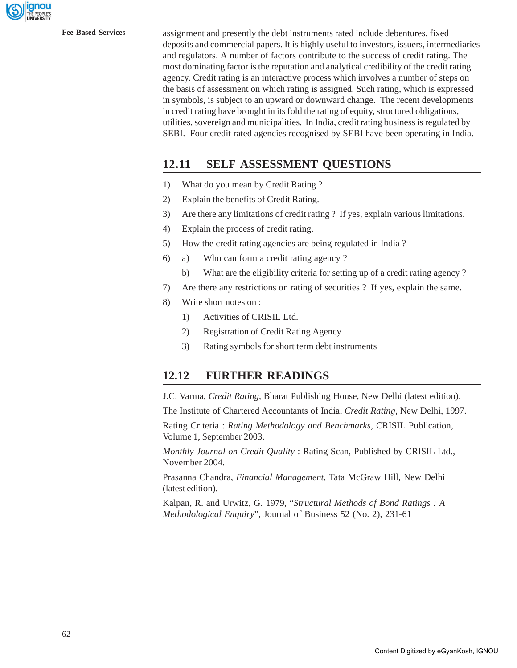

**Fee Based Services** assignment and presently the debt instruments rated include debentures, fixed deposits and commercial papers. It is highly useful to investors, issuers, intermediaries and regulators. A number of factors contribute to the success of credit rating. The most dominating factor is the reputation and analytical credibility of the credit rating agency. Credit rating is an interactive process which involves a number of steps on the basis of assessment on which rating is assigned. Such rating, which is expressed in symbols, is subject to an upward or downward change. The recent developments in credit rating have brought in its fold the rating of equity, structured obligations, utilities, sovereign and municipalities. In India, credit rating business is regulated by SEBI. Four credit rated agencies recognised by SEBI have been operating in India.

# **12.11 SELF ASSESSMENT QUESTIONS**

- 1) What do you mean by Credit Rating ?
- 2) Explain the benefits of Credit Rating.
- 3) Are there any limitations of credit rating ? If yes, explain various limitations.
- 4) Explain the process of credit rating.
- 5) How the credit rating agencies are being regulated in India ?
- 6) a) Who can form a credit rating agency ?
	- b) What are the eligibility criteria for setting up of a credit rating agency ?
- 7) Are there any restrictions on rating of securities ? If yes, explain the same.
- 8) Write short notes on :
	- 1) Activities of CRISIL Ltd.
	- 2) Registration of Credit Rating Agency
	- 3) Rating symbols for short term debt instruments

# **12.12 FURTHER READINGS**

J.C. Varma, *Credit Rating*, Bharat Publishing House, New Delhi (latest edition).

The Institute of Chartered Accountants of India, *Credit Rating*, New Delhi, 1997.

Rating Criteria : *Rating Methodology and Benchmarks*, CRISIL Publication, Volume 1, September 2003.

*Monthly Journal on Credit Quality* : Rating Scan, Published by CRISIL Ltd., November 2004.

Prasanna Chandra, *Financial Management*, Tata McGraw Hill, New Delhi (latest edition).

Kalpan, R. and Urwitz, G. 1979, "*Structural Methods of Bond Ratings : A Methodological Enquiry*", Journal of Business 52 (No. 2), 231-61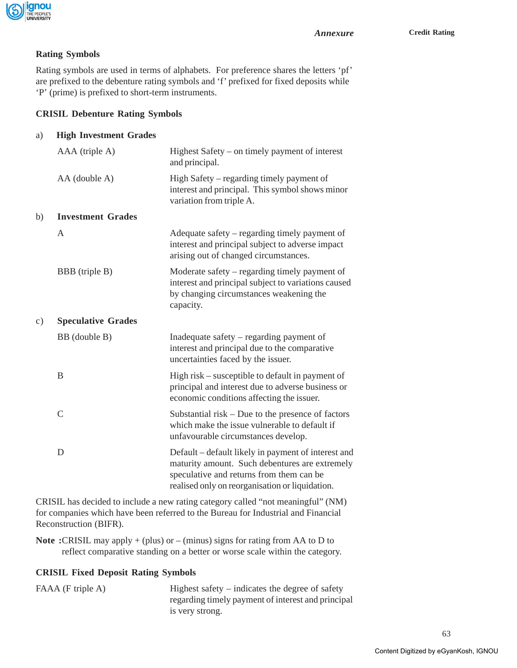

### **Rating Symbols**

Rating symbols are used in terms of alphabets. For preference shares the letters 'pf' are prefixed to the debenture rating symbols and 'f' prefixed for fixed deposits while 'P' (prime) is prefixed to short-term instruments.

### **CRISIL Debenture Rating Symbols**

| a) |  | <b>High Investment Grades</b> |  |
|----|--|-------------------------------|--|
|----|--|-------------------------------|--|

|    | AAA (triple A)            | Highest Safety – on timely payment of interest<br>and principal.                                                                                                                                     |
|----|---------------------------|------------------------------------------------------------------------------------------------------------------------------------------------------------------------------------------------------|
|    | AA (double A)             | High Safety – regarding timely payment of<br>interest and principal. This symbol shows minor<br>variation from triple A.                                                                             |
| b) | <b>Investment Grades</b>  |                                                                                                                                                                                                      |
|    | $\mathbf{A}$              | Adequate safety – regarding timely payment of<br>interest and principal subject to adverse impact<br>arising out of changed circumstances.                                                           |
|    | BBB (triple B)            | Moderate safety – regarding timely payment of<br>interest and principal subject to variations caused<br>by changing circumstances weakening the<br>capacity.                                         |
| c) | <b>Speculative Grades</b> |                                                                                                                                                                                                      |
|    | BB (double B)             | Inadequate safety – regarding payment of<br>interest and principal due to the comparative<br>uncertainties faced by the issuer.                                                                      |
|    | B                         | High risk – susceptible to default in payment of<br>principal and interest due to adverse business or<br>economic conditions affecting the issuer.                                                   |
|    | $\overline{C}$            | Substantial risk $-$ Due to the presence of factors<br>which make the issue vulnerable to default if<br>unfavourable circumstances develop.                                                          |
|    | D                         | Default – default likely in payment of interest and<br>maturity amount. Such debentures are extremely<br>speculative and returns from them can be<br>realised only on reorganisation or liquidation. |
|    |                           |                                                                                                                                                                                                      |

CRISIL has decided to include a new rating category called "not meaningful" (NM) for companies which have been referred to the Bureau for Industrial and Financial Reconstruction (BIFR).

**Note :**CRISIL may apply + (plus) or – (minus) signs for rating from AA to D to reflect comparative standing on a better or worse scale within the category.

## **CRISIL Fixed Deposit Rating Symbols**

FAAA (F triple A) Highest safety – indicates the degree of safety regarding timely payment of interest and principal is very strong.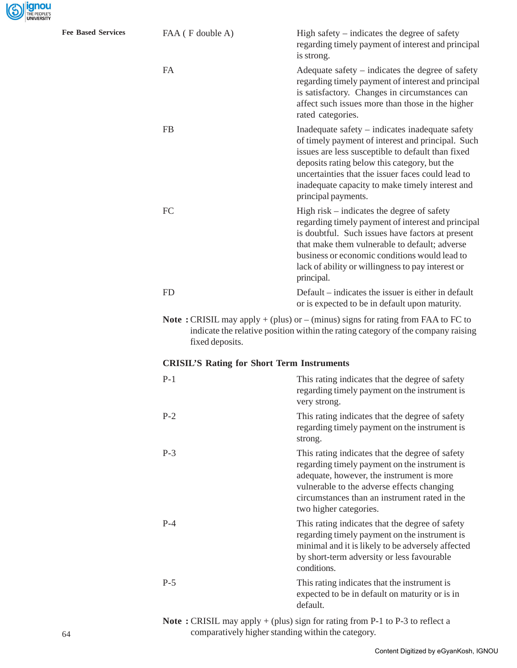Fee Based Services

| FAA (F double A) | High safety $-$ indicates the degree of safety<br>regarding timely payment of interest and principal<br>is strong.                                                                                                                                                                                                                       |
|------------------|------------------------------------------------------------------------------------------------------------------------------------------------------------------------------------------------------------------------------------------------------------------------------------------------------------------------------------------|
| <b>FA</b>        | Adequate safety – indicates the degree of safety<br>regarding timely payment of interest and principal<br>is satisfactory. Changes in circumstances can<br>affect such issues more than those in the higher<br>rated categories.                                                                                                         |
| <b>FB</b>        | Inadequate safety – indicates inadequate safety<br>of timely payment of interest and principal. Such<br>issues are less susceptible to default than fixed<br>deposits rating below this category, but the<br>uncertainties that the issuer faces could lead to<br>inadequate capacity to make timely interest and<br>principal payments. |
| FC               | High risk – indicates the degree of safety<br>regarding timely payment of interest and principal<br>is doubtful. Such issues have factors at present<br>that make them vulnerable to default; adverse<br>business or economic conditions would lead to<br>lack of ability or willingness to pay interest or<br>principal.                |
| <b>FD</b>        | Default – indicates the issuer is either in default<br>or is expected to be in default upon maturity.                                                                                                                                                                                                                                    |
| fixed deposits.  | <b>Note:</b> CRISIL may apply $+$ (plus) or $-$ (minus) signs for rating from FAA to FC to<br>indicate the relative position within the rating category of the company raising                                                                                                                                                           |
|                  | <b>CRISIL'S Rating for Short Term Instruments</b>                                                                                                                                                                                                                                                                                        |
| $P-1$            | This rating indicates that the degree of safety<br>regarding timely payment on the instrument is<br>very strong.                                                                                                                                                                                                                         |
| $P-2$            | This rating indicates that the degree of safety<br>regarding timely payment on the instrument is<br>strong.                                                                                                                                                                                                                              |
| $P-3$            | This rating indicates that the degree of safety<br>regarding timely payment on the instrument is<br>adequate, however, the instrument is more<br>vulnerable to the adverse effects changing<br>circumstances than an instrument rated in the<br>two higher categories.                                                                   |
| $P-4$            | This rating indicates that the degree of safety<br>regarding timely payment on the instrument is<br>minimal and it is likely to be adversely affected<br>by short-term adversity or less favourable<br>conditions.                                                                                                                       |
| $P-5$            | This rating indicates that the instrument is                                                                                                                                                                                                                                                                                             |

**Note :** CRISIL may apply + (plus) sign for rating from P-1 to P-3 to reflect a comparatively higher standing within the category.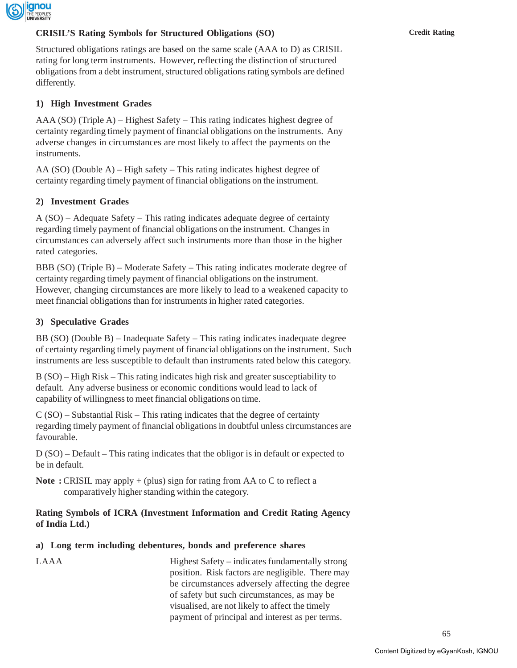

### **CRISIL'S Rating Symbols for Structured Obligations (SO) Credit Rating**

Structured obligations ratings are based on the same scale (AAA to D) as CRISIL rating for long term instruments. However, reflecting the distinction of structured obligations from a debt instrument, structured obligations rating symbols are defined differently.

## **1) High Investment Grades**

AAA (SO) (Triple A) – Highest Safety – This rating indicates highest degree of certainty regarding timely payment of financial obligations on the instruments. Any adverse changes in circumstances are most likely to affect the payments on the instruments.

AA (SO) (Double A) – High safety – This rating indicates highest degree of certainty regarding timely payment of financial obligations on the instrument.

### **2) Investment Grades**

A (SO) – Adequate Safety – This rating indicates adequate degree of certainty regarding timely payment of financial obligations on the instrument. Changes in circumstances can adversely affect such instruments more than those in the higher rated categories.

BBB (SO) (Triple B) – Moderate Safety – This rating indicates moderate degree of certainty regarding timely payment of financial obligations on the instrument. However, changing circumstances are more likely to lead to a weakened capacity to meet financial obligations than for instruments in higher rated categories.

### **3) Speculative Grades**

BB (SO) (Double B) – Inadequate Safety – This rating indicates inadequate degree of certainty regarding timely payment of financial obligations on the instrument. Such instruments are less susceptible to default than instruments rated below this category.

B (SO) – High Risk – This rating indicates high risk and greater susceptiability to default. Any adverse business or economic conditions would lead to lack of capability of willingness to meet financial obligations on time.

C (SO) – Substantial Risk – This rating indicates that the degree of certainty regarding timely payment of financial obligations in doubtful unless circumstances are favourable.

D (SO) – Default – This rating indicates that the obligor is in default or expected to be in default.

**Note :** CRISIL may apply + (plus) sign for rating from AA to C to reflect a comparatively higher standing within the category.

### **Rating Symbols of ICRA (Investment Information and Credit Rating Agency of India Ltd.)**

### **a) Long term including debentures, bonds and preference shares**

LAAA Highest Safety – indicates fundamentally strong position. Risk factors are negligible. There may be circumstances adversely affecting the degree of safety but such circumstances, as may be visualised, are not likely to affect the timely payment of principal and interest as per terms.

65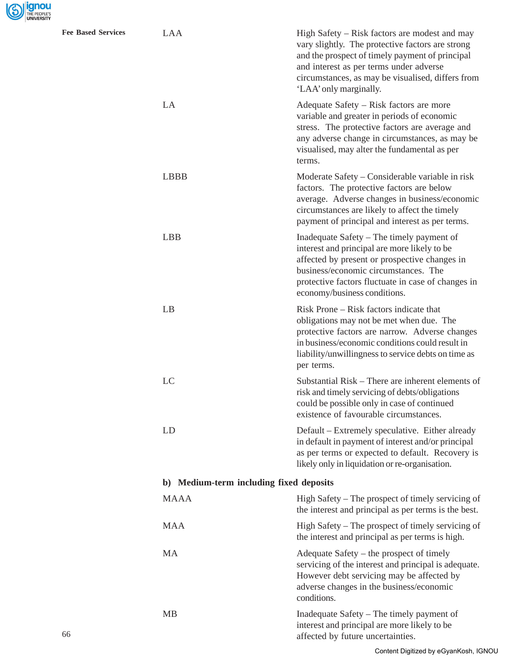

| <b>Fee Based Services</b> | LAA                                     | High Safety – Risk factors are modest and may<br>vary slightly. The protective factors are strong<br>and the prospect of timely payment of principal<br>and interest as per terms under adverse<br>circumstances, as may be visualised, differs from<br>'LAA' only marginally. |  |  |  |  |
|---------------------------|-----------------------------------------|--------------------------------------------------------------------------------------------------------------------------------------------------------------------------------------------------------------------------------------------------------------------------------|--|--|--|--|
|                           | LA                                      | Adequate Safety – Risk factors are more<br>variable and greater in periods of economic<br>stress. The protective factors are average and<br>any adverse change in circumstances, as may be<br>visualised, may alter the fundamental as per<br>terms.                           |  |  |  |  |
|                           | <b>LBBB</b>                             | Moderate Safety – Considerable variable in risk<br>factors. The protective factors are below<br>average. Adverse changes in business/economic<br>circumstances are likely to affect the timely<br>payment of principal and interest as per terms.                              |  |  |  |  |
|                           | <b>LBB</b>                              | Inadequate Safety – The timely payment of<br>interest and principal are more likely to be<br>affected by present or prospective changes in<br>business/economic circumstances. The<br>protective factors fluctuate in case of changes in<br>economy/business conditions.       |  |  |  |  |
|                           | LB                                      | Risk Prone – Risk factors indicate that<br>obligations may not be met when due. The<br>protective factors are narrow. Adverse changes<br>in business/economic conditions could result in<br>liability/unwillingness to service debts on time as<br>per terms.                  |  |  |  |  |
|                           | LC                                      | Substantial Risk – There are inherent elements of<br>risk and timely servicing of debts/obligations<br>could be possible only in case of continued<br>existence of favourable circumstances.                                                                                   |  |  |  |  |
|                           | LD                                      | Default – Extremely speculative. Either already<br>in default in payment of interest and/or principal<br>as per terms or expected to default. Recovery is<br>likely only in liquidation or re-organisation.                                                                    |  |  |  |  |
|                           | b) Medium-term including fixed deposits |                                                                                                                                                                                                                                                                                |  |  |  |  |
|                           | <b>MAAA</b>                             | High Safety – The prospect of timely servicing of<br>the interest and principal as per terms is the best.                                                                                                                                                                      |  |  |  |  |
|                           | <b>MAA</b>                              | High Safety – The prospect of timely servicing of<br>the interest and principal as per terms is high.                                                                                                                                                                          |  |  |  |  |
|                           | MA                                      | Adequate Safety – the prospect of timely<br>servicing of the interest and principal is adequate.<br>However debt servicing may be affected by<br>adverse changes in the business/economic<br>conditions.                                                                       |  |  |  |  |
| 66                        | <b>MB</b>                               | Inadequate Safety – The timely payment of<br>interest and principal are more likely to be<br>affected by future uncertainties.                                                                                                                                                 |  |  |  |  |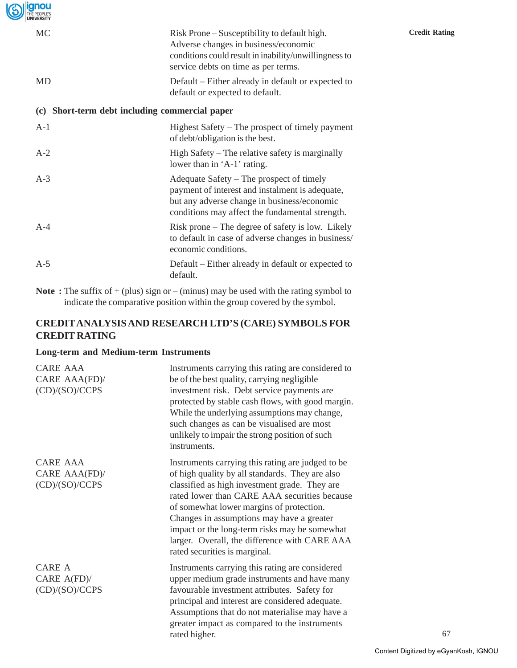| <b>ignou</b><br>THE PEOPLE'S<br><b>UNIVERSITY</b> |                                                                                                                                                                                               |                      |
|---------------------------------------------------|-----------------------------------------------------------------------------------------------------------------------------------------------------------------------------------------------|----------------------|
| MC                                                | Risk Prone – Susceptibility to default high.<br>Adverse changes in business/economic<br>conditions could result in inability/unwillingness to<br>service debts on time as per terms.          | <b>Credit Rating</b> |
| MD                                                | Default – Either already in default or expected to<br>default or expected to default.                                                                                                         |                      |
| (c)                                               | Short-term debt including commercial paper                                                                                                                                                    |                      |
| $A-1$                                             | Highest Safety – The prospect of timely payment<br>of debt/obligation is the best.                                                                                                            |                      |
| $A-2$                                             | High Safety – The relative safety is marginally<br>lower than in 'A-1' rating.                                                                                                                |                      |
| $A-3$                                             | Adequate Safety – The prospect of timely<br>payment of interest and instalment is adequate,<br>but any adverse change in business/economic<br>conditions may affect the fundamental strength. |                      |
| $A-4$                                             | Risk prone – The degree of safety is low. Likely<br>to default in case of adverse changes in business/<br>economic conditions.                                                                |                      |
| $A-5$                                             | Default – Either already in default or expected to<br>default.                                                                                                                                |                      |
|                                                   |                                                                                                                                                                                               |                      |

**Note** : The suffix of + (plus) sign or – (minus) may be used with the rating symbol to indicate the comparative position within the group covered by the symbol.

# **CREDIT ANALYSIS AND RESEARCH LTD'S (CARE) SYMBOLS FOR CREDIT RATING**

### **Long-term and Medium-term Instruments**

| CARE AAA<br>CARE AAA(FD)/<br>(CD)/(SO)/CCPS    | Instruments carrying this rating are considered to<br>be of the best quality, carrying negligible<br>investment risk. Debt service payments are<br>protected by stable cash flows, with good margin.<br>While the underlying assumptions may change,<br>such changes as can be visualised are most<br>unlikely to impair the strong position of such<br>instruments.                                                              |
|------------------------------------------------|-----------------------------------------------------------------------------------------------------------------------------------------------------------------------------------------------------------------------------------------------------------------------------------------------------------------------------------------------------------------------------------------------------------------------------------|
| CARE AAA<br>CARE AAA(FD)/<br>(CD)/(SO)/CCPS    | Instruments carrying this rating are judged to be<br>of high quality by all standards. They are also<br>classified as high investment grade. They are<br>rated lower than CARE AAA securities because<br>of somewhat lower margins of protection.<br>Changes in assumptions may have a greater<br>impact or the long-term risks may be somewhat<br>larger. Overall, the difference with CARE AAA<br>rated securities is marginal. |
| <b>CARE A</b><br>CARE A(FD)/<br>(CD)/(SO)/CCPS | Instruments carrying this rating are considered<br>upper medium grade instruments and have many<br>favourable investment attributes. Safety for<br>principal and interest are considered adequate.<br>Assumptions that do not materialise may have a<br>greater impact as compared to the instruments<br>rated higher.                                                                                                            |

67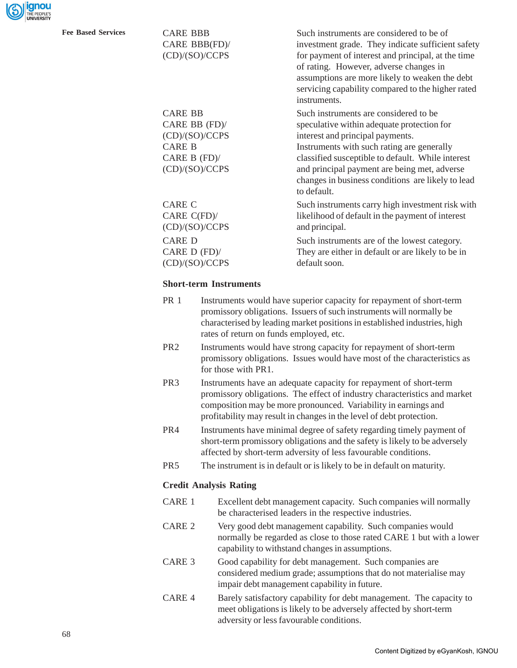

**Fee Based Services** CARE BBB Such instruments are considered to be of CARE BBB(FD)/ investment grade. They indicate sufficient safety (CD)/(SO)/CCPS for payment of interest and principal, at the time of rating. However, adverse changes in assumptions are more likely to weaken the debt servicing capability compared to the higher rated instruments.

> CARE BB Such instruments are considered to be CARE BB (FD)/ speculative within adequate protection for (CD)/(SO)/CCPS interest and principal payments.

CARE B Instruments with such rating are generally CARE B (FD)/ classified susceptible to default. While interest (CD)/(SO)/CCPS and principal payment are being met, adverse changes in business conditions are likely to lead to default.

CARE C Such instruments carry high investment risk with CARE C(FD)/ likelihood of default in the payment of interest (CD)/(SO)/CCPS and principal.

CARE D Such instruments are of the lowest category. CARE D (FD)/ They are either in default or are likely to be in (CD)/(SO)/CCPS default soon.

#### **Short-term Instruments**

| <b>PR</b> 1 | Instruments would have superior capacity for repayment of short-term      |
|-------------|---------------------------------------------------------------------------|
|             | promissory obligations. Issuers of such instruments will normally be      |
|             | characterised by leading market positions in established industries, high |
|             | rates of return on funds employed, etc.                                   |
|             |                                                                           |

- PR2 Instruments would have strong capacity for repayment of short-term promissory obligations. Issues would have most of the characteristics as for those with PR1.
- PR3 Instruments have an adequate capacity for repayment of short-term promissory obligations. The effect of industry characteristics and market composition may be more pronounced. Variability in earnings and profitability may result in changes in the level of debt protection.
- PR4 Instruments have minimal degree of safety regarding timely payment of short-term promissory obligations and the safety is likely to be adversely affected by short-term adversity of less favourable conditions.
- PR5 The instrument is in default or is likely to be in default on maturity.

#### **Credit Analysis Rating**

- CARE 1 Excellent debt management capacity. Such companies will normally be characterised leaders in the respective industries.
- CARE 2 Very good debt management capability. Such companies would normally be regarded as close to those rated CARE 1 but with a lower capability to withstand changes in assumptions.
- CARE 3 Good capability for debt management. Such companies are considered medium grade; assumptions that do not materialise may impair debt management capability in future.
- CARE 4 Barely satisfactory capability for debt management. The capacity to meet obligations is likely to be adversely affected by short-term adversity or less favourable conditions.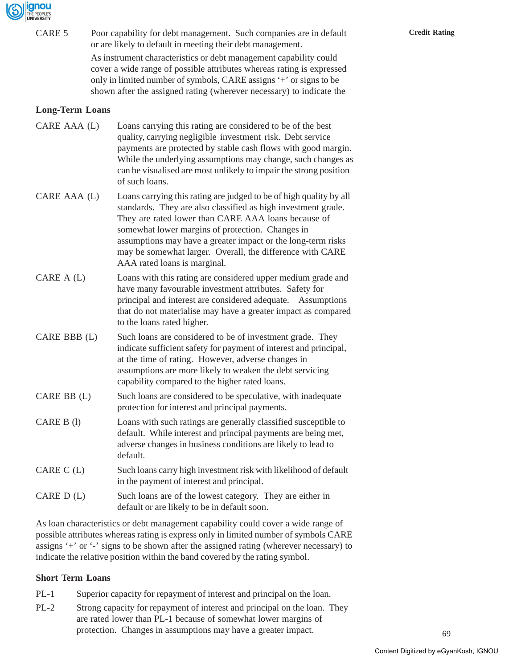

| CARE 5                 | Poor capability for debt management. Such companies are in default<br>or are likely to default in meeting their debt management.<br>As instrument characteristics or debt management capability could<br>cover a wide range of possible attributes whereas rating is expressed<br>only in limited number of symbols, CARE assigns '+' or signs to be<br>shown after the assigned rating (wherever necessary) to indicate the | <b>Credit Rating</b> |
|------------------------|------------------------------------------------------------------------------------------------------------------------------------------------------------------------------------------------------------------------------------------------------------------------------------------------------------------------------------------------------------------------------------------------------------------------------|----------------------|
| <b>Long-Term Loans</b> |                                                                                                                                                                                                                                                                                                                                                                                                                              |                      |
| CARE AAA (L)           | Loans carrying this rating are considered to be of the best<br>quality, carrying negligible investment risk. Debt service<br>payments are protected by stable cash flows with good margin.<br>While the underlying assumptions may change, such changes as<br>can be visualised are most unlikely to impair the strong position<br>of such loans.                                                                            |                      |
| CARE AAA (L)           | Loans carrying this rating are judged to be of high quality by all<br>standards. They are also classified as high investment grade.<br>They are rated lower than CARE AAA loans because of<br>somewhat lower margins of protection. Changes in<br>assumptions may have a greater impact or the long-term risks<br>may be somewhat larger. Overall, the difference with CARE<br>AAA rated loans is marginal.                  |                      |
| CARE $A(L)$            | Loans with this rating are considered upper medium grade and<br>have many favourable investment attributes. Safety for<br>principal and interest are considered adequate. Assumptions<br>that do not materialise may have a greater impact as compared<br>to the loans rated higher.                                                                                                                                         |                      |
| CARE BBB (L)           | Such loans are considered to be of investment grade. They<br>indicate sufficient safety for payment of interest and principal,<br>at the time of rating. However, adverse changes in<br>assumptions are more likely to weaken the debt servicing<br>capability compared to the higher rated loans.                                                                                                                           |                      |
| CARE BB (L)            | Such loans are considered to be speculative, with inadequate<br>protection for interest and principal payments.                                                                                                                                                                                                                                                                                                              |                      |
| CARE B (1)             | Loans with such ratings are generally classified susceptible to<br>default. While interest and principal payments are being met,<br>adverse changes in business conditions are likely to lead to<br>default.                                                                                                                                                                                                                 |                      |
| CARE $C(L)$            | Such loans carry high investment risk with likelihood of default<br>in the payment of interest and principal.                                                                                                                                                                                                                                                                                                                |                      |
| CARE $D(L)$            | Such loans are of the lowest category. They are either in<br>default or are likely to be in default soon.                                                                                                                                                                                                                                                                                                                    |                      |
|                        |                                                                                                                                                                                                                                                                                                                                                                                                                              |                      |

As loan characteristics or debt management capability could cover a wide range of possible attributes whereas rating is express only in limited number of symbols CARE assigns '+' or '-' signs to be shown after the assigned rating (wherever necessary) to indicate the relative position within the band covered by the rating symbol.

## **Short Term Loans**

- PL-1 Superior capacity for repayment of interest and principal on the loan.
- PL-2 Strong capacity for repayment of interest and principal on the loan. They are rated lower than PL-1 because of somewhat lower margins of protection. Changes in assumptions may have a greater impact.